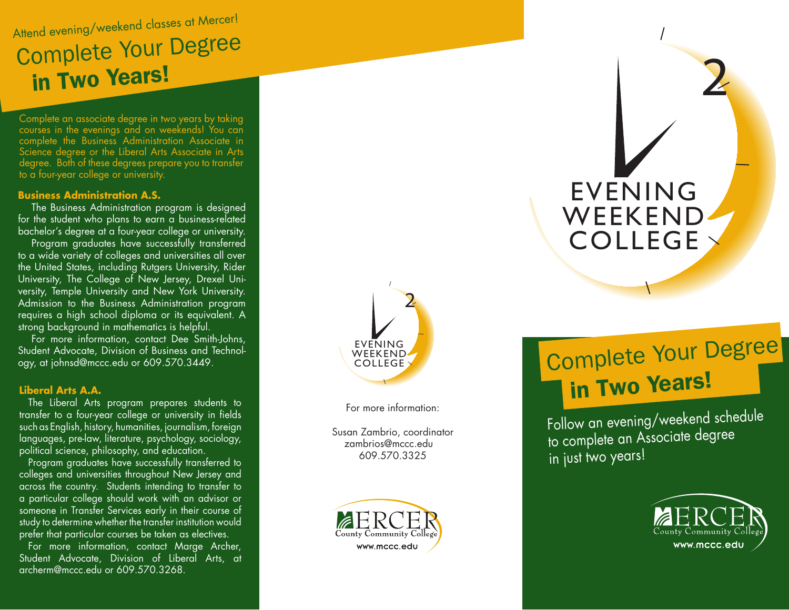### Attend evening/weekend classes at Mercer! Complete Your Degree in Two Years!

Complete an associate degree in two years by taking courses in the evenings and on weekends! You can complete the Business Administration Associate in Science degree or the Liberal Arts Associate in Arts degree. Both of these degrees prepare you to transfer to a four-year college or university.

#### **Business Administration A.S.**

The Business Administration program is designed for the student who plans to earn a business-related bachelor's degree at a four-year college or university.

Program graduates have successfully transferred to a wide variety of colleges and universities all over the United States, including Rutgers University, Rider University, The College of New Jersey, Drexel Uni versity, Temple University and New York University. Admission to the Business Administration program requires a high school diploma or its equivalent. A strong background in mathematics is helpful.

For more information, contact Dee Smith-Johns, Student Advocate, Division of Business and Technol ogy, at johnsd@mccc.edu or 609.570.3449.

### **Liberal Arts A.A.**

The Liberal Arts program prepares students to transfer to a four-year college or university in fields such as English, history, humanities, journalism, foreign languages, pre-law, literature, psychology, sociology, political science, philosophy, and education.

Program graduates have successfully transferred to colleges and universities throughout New Jersey and across the country. Students intending to transfer to a particular college should work with an advisor or someone in Transfer Services early in their course of study to determine whether the transfer institution would prefer that particular courses be taken as electives.

For more information, contact Marge Archer, Student Advocate, Division of Liberal Arts, at archerm@mccc.edu or 609.570.3268.



For more information:

Susan Zambrio, coordinator zambrios@mccc.edu 609.570.3325



## Complete Your Degree in Two Years!

EVENING

WEEKEND

COLLEGE

Follow an evening/weekend schedule to complete an Associate degree in just two years!



2